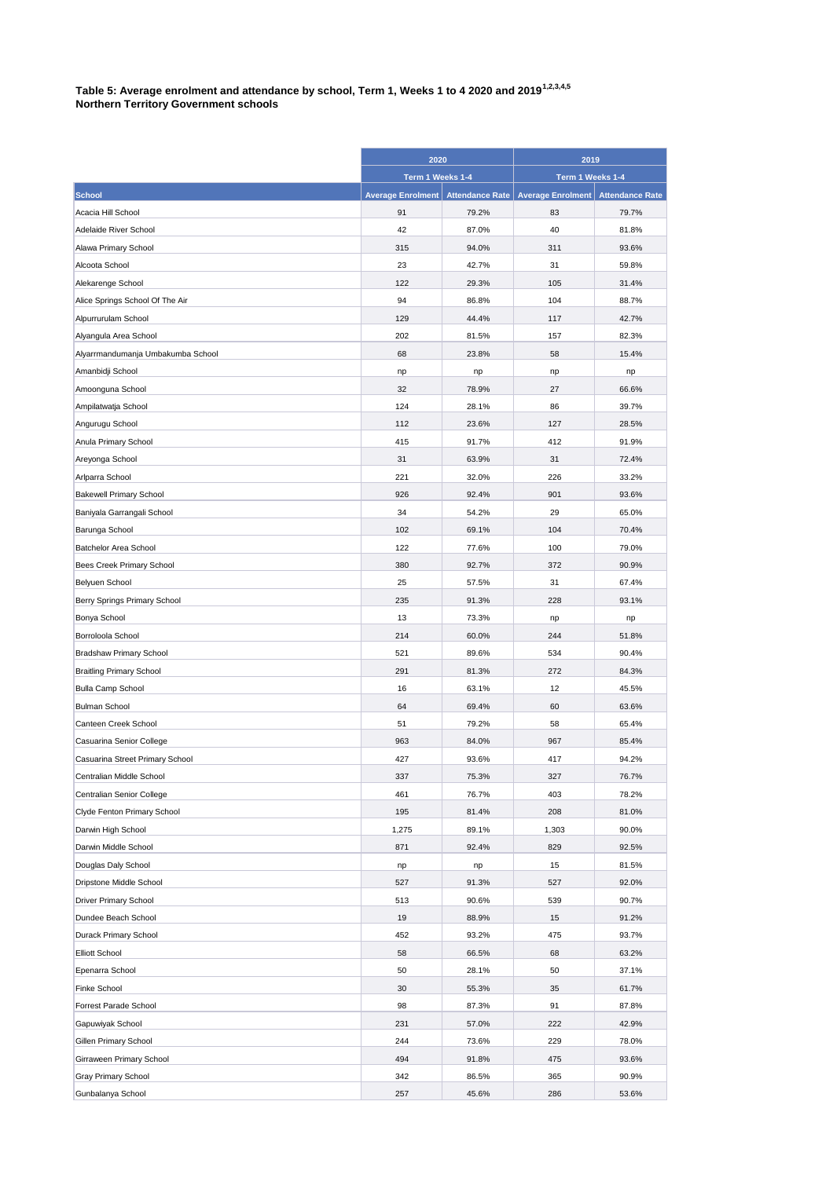|                                     | 2020                     |                        | 2019                                |       |
|-------------------------------------|--------------------------|------------------------|-------------------------------------|-------|
|                                     | Term 1 Weeks 1-4         |                        | Term 1 Weeks 1-4                    |       |
| <b>School</b>                       | <b>Average Enrolment</b> | <b>Attendance Rate</b> | Average Enrolment   Attendance Rate |       |
| Acacia Hill School                  | 91                       | 79.2%                  | 83                                  | 79.7% |
| Adelaide River School               | 42                       | 87.0%                  | 40                                  | 81.8% |
| Alawa Primary School                | 315                      | 94.0%                  | 311                                 | 93.6% |
| Alcoota School                      | 23                       | 42.7%                  | 31                                  | 59.8% |
| Alekarenge School                   | 122                      | 29.3%                  | 105                                 | 31.4% |
| Alice Springs School Of The Air     | 94                       | 86.8%                  | 104                                 | 88.7% |
| Alpurrurulam School                 | 129                      | 44.4%                  | 117                                 | 42.7% |
| Alyangula Area School               | 202                      | 81.5%                  | 157                                 | 82.3% |
| Alyarrmandumanja Umbakumba School   | 68                       | 23.8%                  | 58                                  | 15.4% |
| Amanbidji School                    | np                       | np                     | np                                  | np    |
| Amoonguna School                    | 32                       | 78.9%                  | 27                                  | 66.6% |
| Ampilatwatja School                 | 124                      | 28.1%                  | 86                                  | 39.7% |
| Angurugu School                     | 112                      | 23.6%                  | 127                                 | 28.5% |
| Anula Primary School                | 415                      | 91.7%                  | 412                                 | 91.9% |
| Areyonga School                     | 31                       | 63.9%                  | 31                                  | 72.4% |
| Arlparra School                     | 221                      | 32.0%                  | 226                                 | 33.2% |
| <b>Bakewell Primary School</b>      | 926                      | 92.4%                  | 901                                 | 93.6% |
| Baniyala Garrangali School          | 34                       | 54.2%                  | 29                                  | 65.0% |
| Barunga School                      | 102                      | 69.1%                  | 104                                 | 70.4% |
| Batchelor Area School               | 122                      | 77.6%                  | 100                                 | 79.0% |
| <b>Bees Creek Primary School</b>    | 380                      | 92.7%                  | 372                                 | 90.9% |
| Belyuen School                      | 25                       | 57.5%                  | 31                                  | 67.4% |
| <b>Berry Springs Primary School</b> | 235                      | 91.3%                  | 228                                 | 93.1% |
| Bonya School                        | 13                       | 73.3%                  | np                                  | np    |
| Borroloola School                   | 214                      | 60.0%                  | 244                                 | 51.8% |
| <b>Bradshaw Primary School</b>      | 521                      | 89.6%                  | 534                                 | 90.4% |
| <b>Braitling Primary School</b>     | 291                      | 81.3%                  | 272                                 | 84.3% |
| <b>Bulla Camp School</b>            | 16                       | 63.1%                  | 12                                  | 45.5% |
| <b>Bulman School</b>                | 64                       | 69.4%                  | 60                                  | 63.6% |
| Canteen Creek School                | 51                       | 79.2%                  | 58                                  | 65.4% |
| Casuarina Senior College            | 963                      | 84.0%                  | 967                                 | 85.4% |
| Casuarina Street Primary School     | 427                      | 93.6%                  | 417                                 | 94.2% |
| Centralian Middle School            | 337                      | 75.3%                  | 327                                 | 76.7% |
| Centralian Senior College           | 461                      | 76.7%                  | 403                                 | 78.2% |
| Clyde Fenton Primary School         | 195                      | 81.4%                  | 208                                 | 81.0% |
| Darwin High School                  | 1,275                    | 89.1%                  | 1,303                               | 90.0% |
| Darwin Middle School                | 871                      | 92.4%                  | 829                                 | 92.5% |
| Douglas Daly School                 | np                       | np                     | 15                                  | 81.5% |
| Dripstone Middle School             | 527                      | 91.3%                  | 527                                 | 92.0% |
| <b>Driver Primary School</b>        | 513                      | 90.6%                  | 539                                 | 90.7% |
| Dundee Beach School                 | 19                       | 88.9%                  | 15                                  | 91.2% |
| Durack Primary School               | 452                      | 93.2%                  | 475                                 | 93.7% |
| Elliott School                      | 58                       | 66.5%                  | 68                                  | 63.2% |
| Epenarra School                     | 50                       | 28.1%                  | 50                                  | 37.1% |
| Finke School                        | 30                       | 55.3%                  | 35                                  | 61.7% |
| Forrest Parade School               | 98                       | 87.3%                  | 91                                  | 87.8% |
| Gapuwiyak School                    | 231                      | 57.0%                  | 222                                 | 42.9% |
| <b>Gillen Primary School</b>        | 244                      | 73.6%                  | 229                                 | 78.0% |
| Girraween Primary School            | 494                      | 91.8%                  | 475                                 | 93.6% |
| <b>Gray Primary School</b>          | 342                      | 86.5%                  | 365                                 | 90.9% |
| Gunbalanya School                   | 257                      | 45.6%                  | 286                                 | 53.6% |

**Table 5: Average enrolment and attendance by school, Term 1, Weeks 1 to 4 2020 and 20191,2,3,4,5 Northern Territory Government schools**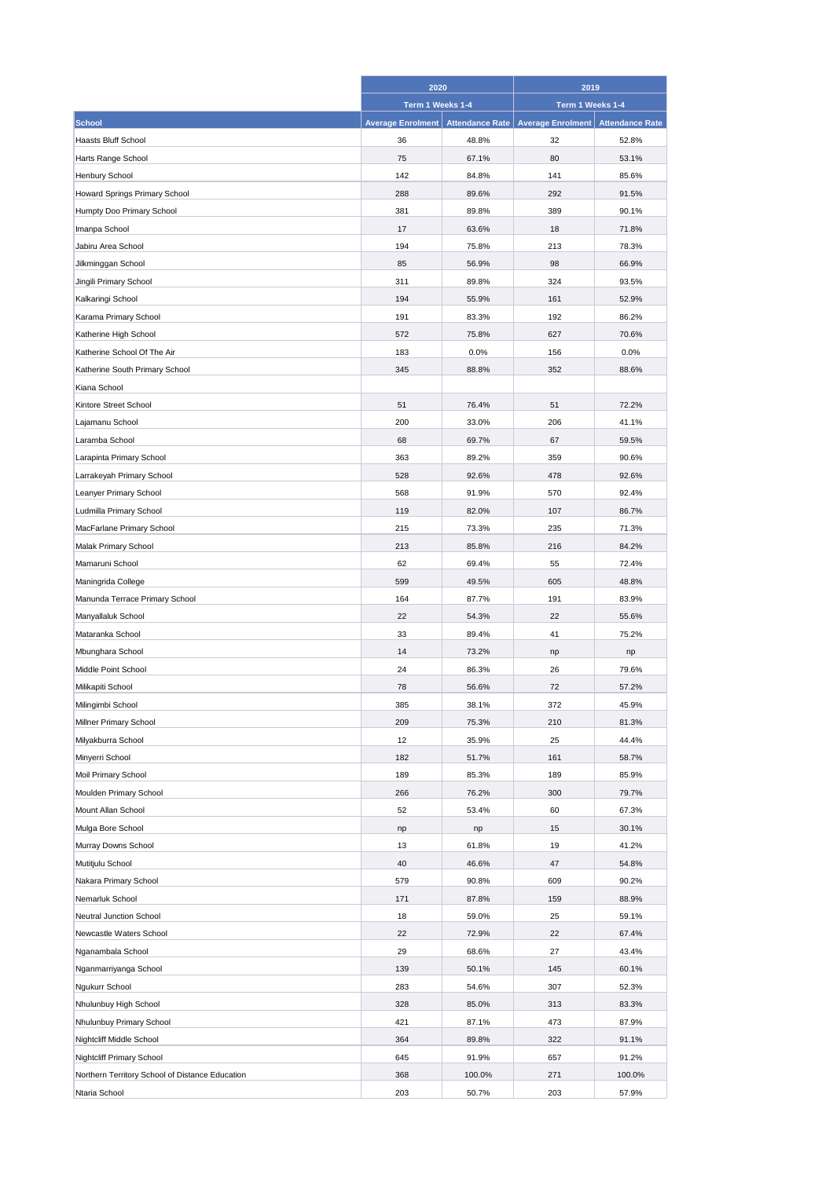|                                                 | 2020                     |                        | 2019                     |                        |
|-------------------------------------------------|--------------------------|------------------------|--------------------------|------------------------|
|                                                 | Term 1 Weeks 1-4         |                        | Term 1 Weeks 1-4         |                        |
| <b>School</b>                                   | <b>Average Enrolment</b> | <b>Attendance Rate</b> | <b>Average Enrolment</b> | <b>Attendance Rate</b> |
| Haasts Bluff School                             | 36                       | 48.8%                  | 32                       | 52.8%                  |
| Harts Range School                              | 75                       | 67.1%                  | 80                       | 53.1%                  |
| <b>Henbury School</b>                           | 142                      | 84.8%                  | 141                      | 85.6%                  |
| Howard Springs Primary School                   | 288                      | 89.6%                  | 292                      | 91.5%                  |
| Humpty Doo Primary School                       | 381                      | 89.8%                  | 389                      | 90.1%                  |
| Imanpa School                                   | 17                       | 63.6%                  | 18                       | 71.8%                  |
| Jabiru Area School                              | 194                      | 75.8%                  | 213                      | 78.3%                  |
| Jilkminggan School                              | 85                       | 56.9%                  | 98                       | 66.9%                  |
| Jingili Primary School                          | 311                      | 89.8%                  | 324                      | 93.5%                  |
| Kalkaringi School                               | 194                      | 55.9%                  | 161                      | 52.9%                  |
| Karama Primary School                           | 191                      | 83.3%                  | 192                      | 86.2%                  |
| Katherine High School                           | 572                      | 75.8%                  | 627                      | 70.6%                  |
| Katherine School Of The Air                     | 183                      |                        |                          | 0.0%                   |
|                                                 |                          | 0.0%                   | 156                      |                        |
| Katherine South Primary School                  | 345                      | 88.8%                  | 352                      | 88.6%                  |
| Kiana School                                    |                          |                        |                          |                        |
| Kintore Street School                           | 51                       | 76.4%                  | 51                       | 72.2%                  |
| Lajamanu School                                 | 200                      | 33.0%                  | 206                      | 41.1%                  |
| Laramba School                                  | 68                       | 69.7%                  | 67                       | 59.5%                  |
| Larapinta Primary School                        | 363                      | 89.2%                  | 359                      | 90.6%                  |
| Larrakeyah Primary School                       | 528                      | 92.6%                  | 478                      | 92.6%                  |
| Leanyer Primary School                          | 568                      | 91.9%                  | 570                      | 92.4%                  |
| Ludmilla Primary School                         | 119                      | 82.0%                  | 107                      | 86.7%                  |
| MacFarlane Primary School                       | 215                      | 73.3%                  | 235                      | 71.3%                  |
| Malak Primary School                            | 213                      | 85.8%                  | 216                      | 84.2%                  |
| Mamaruni School                                 | 62                       | 69.4%                  | 55                       | 72.4%                  |
| Maningrida College                              | 599                      | 49.5%                  | 605                      | 48.8%                  |
| Manunda Terrace Primary School                  | 164                      | 87.7%                  | 191                      | 83.9%                  |
| Manyallaluk School                              | 22                       | 54.3%                  | 22                       | 55.6%                  |
| Mataranka School                                | 33                       | 89.4%                  | 41                       | 75.2%                  |
| Mbunghara School                                | 14                       | 73.2%                  | np                       | np                     |
| Middle Point School                             | 24                       | 86.3%                  | 26                       | 79.6%                  |
| Milikapiti School                               | 78                       | 56.6%                  | 72                       | 57.2%                  |
| Milingimbi School                               | 385                      | 38.1%                  | 372                      | 45.9%                  |
| <b>Millner Primary School</b>                   | 209                      | 75.3%                  | 210                      | 81.3%                  |
| Milyakburra School                              | 12                       | 35.9%                  | 25                       | 44.4%                  |
| Minyerri School                                 | 182                      | 51.7%                  | 161                      | 58.7%                  |
| Moil Primary School                             | 189                      | 85.3%                  | 189                      | 85.9%                  |
| Moulden Primary School                          | 266                      | 76.2%                  | 300                      | 79.7%                  |
| Mount Allan School                              | 52                       | 53.4%                  | 60                       | 67.3%                  |
| Mulga Bore School                               | np                       | np                     | 15                       | 30.1%                  |
| Murray Downs School                             | 13                       | 61.8%                  | 19                       | 41.2%                  |
| Mutitjulu School                                | 40                       | 46.6%                  | 47                       | 54.8%                  |
| Nakara Primary School                           | 579                      | 90.8%                  | 609                      | 90.2%                  |
| Nemarluk School                                 | 171                      | 87.8%                  | 159                      | 88.9%                  |
| <b>Neutral Junction School</b>                  | 18                       | 59.0%                  | 25                       | 59.1%                  |
| Newcastle Waters School                         | 22                       | 72.9%                  | 22                       | 67.4%                  |
| Nganambala School                               | 29                       | 68.6%                  | 27                       | 43.4%                  |
| Nganmarriyanga School                           | 139                      | 50.1%                  | 145                      | 60.1%                  |
| Ngukurr School                                  | 283                      | 54.6%                  | 307                      | 52.3%                  |
| Nhulunbuy High School                           | 328                      | 85.0%                  | 313                      | 83.3%                  |
| Nhulunbuy Primary School                        | 421                      | 87.1%                  | 473                      | 87.9%                  |
| Nightcliff Middle School                        | 364                      | 89.8%                  | 322                      | 91.1%                  |
| <b>Nightcliff Primary School</b>                | 645                      | 91.9%                  | 657                      | 91.2%                  |
| Northern Territory School of Distance Education | 368                      | 100.0%                 | 271                      | 100.0%                 |
| Ntaria School                                   | 203                      | 50.7%                  | 203                      | 57.9%                  |